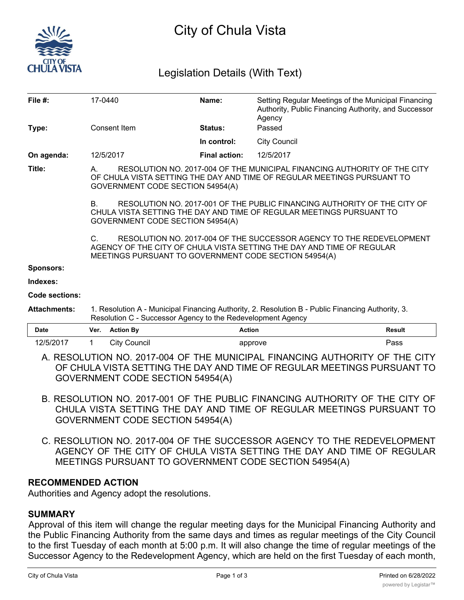

# City of Chula Vista

# Legislation Details (With Text)

| File #:          | 17-0440                                                                                                                                                                                                                |                | Name:                | Setting Regular Meetings of the Municipal Financing<br>Authority, Public Financing Authority, and Successor<br>Agency |  |  |
|------------------|------------------------------------------------------------------------------------------------------------------------------------------------------------------------------------------------------------------------|----------------|----------------------|-----------------------------------------------------------------------------------------------------------------------|--|--|
| Type:            | Consent Item                                                                                                                                                                                                           |                | Status:              | Passed                                                                                                                |  |  |
|                  |                                                                                                                                                                                                                        |                | In control:          | <b>City Council</b>                                                                                                   |  |  |
| On agenda:       | 12/5/2017                                                                                                                                                                                                              |                | <b>Final action:</b> | 12/5/2017                                                                                                             |  |  |
| Title:           | RESOLUTION NO. 2017-004 OF THE MUNICIPAL FINANCING AUTHORITY OF THE CITY<br>A.<br>OF CHULA VISTA SETTING THE DAY AND TIME OF REGULAR MEETINGS PURSUANT TO<br>GOVERNMENT CODE SECTION 54954(A)                          |                |                      |                                                                                                                       |  |  |
|                  | RESOLUTION NO. 2017-001 OF THE PUBLIC FINANCING AUTHORITY OF THE CITY OF<br>B.<br>CHULA VISTA SETTING THE DAY AND TIME OF REGULAR MEETINGS PURSUANT TO<br>GOVERNMENT CODE SECTION 54954(A)                             |                |                      |                                                                                                                       |  |  |
|                  | RESOLUTION NO. 2017-004 OF THE SUCCESSOR AGENCY TO THE REDEVELOPMENT<br>$\mathsf{C}$<br>AGENCY OF THE CITY OF CHULA VISTA SETTING THE DAY AND TIME OF REGULAR<br>MEETINGS PURSUANT TO GOVERNMENT CODE SECTION 54954(A) |                |                      |                                                                                                                       |  |  |
| <b>Sponsors:</b> |                                                                                                                                                                                                                        |                |                      |                                                                                                                       |  |  |
| Indexes:         |                                                                                                                                                                                                                        |                |                      |                                                                                                                       |  |  |
| Code sections:   |                                                                                                                                                                                                                        |                |                      |                                                                                                                       |  |  |
|                  |                                                                                                                                                                                                                        | $\blacksquare$ |                      | $\blacksquare$                                                                                                        |  |  |

**Attachments:** 1. Resolution A - Municipal Financing Authority, 2. Resolution B - Public Financing Authority, 3. Resolution C - Successor Agency to the Redevelopment Agency

| <b>Date</b> | Ver. | <b>Action Bv</b> | Action  | Result |
|-------------|------|------------------|---------|--------|
| .2/5/2017   |      | City Council     | approve | Pass   |

A. RESOLUTION NO. 2017-004 OF THE MUNICIPAL FINANCING AUTHORITY OF THE CITY OF CHULA VISTA SETTING THE DAY AND TIME OF REGULAR MEETINGS PURSUANT TO GOVERNMENT CODE SECTION 54954(A)

- B. RESOLUTION NO. 2017-001 OF THE PUBLIC FINANCING AUTHORITY OF THE CITY OF CHULA VISTA SETTING THE DAY AND TIME OF REGULAR MEETINGS PURSUANT TO GOVERNMENT CODE SECTION 54954(A)
- C. RESOLUTION NO. 2017-004 OF THE SUCCESSOR AGENCY TO THE REDEVELOPMENT AGENCY OF THE CITY OF CHULA VISTA SETTING THE DAY AND TIME OF REGULAR MEETINGS PURSUANT TO GOVERNMENT CODE SECTION 54954(A)

# **RECOMMENDED ACTION**

Authorities and Agency adopt the resolutions.

# **SUMMARY**

Approval of this item will change the regular meeting days for the Municipal Financing Authority and the Public Financing Authority from the same days and times as regular meetings of the City Council to the first Tuesday of each month at 5:00 p.m. It will also change the time of regular meetings of the Successor Agency to the Redevelopment Agency, which are held on the first Tuesday of each month,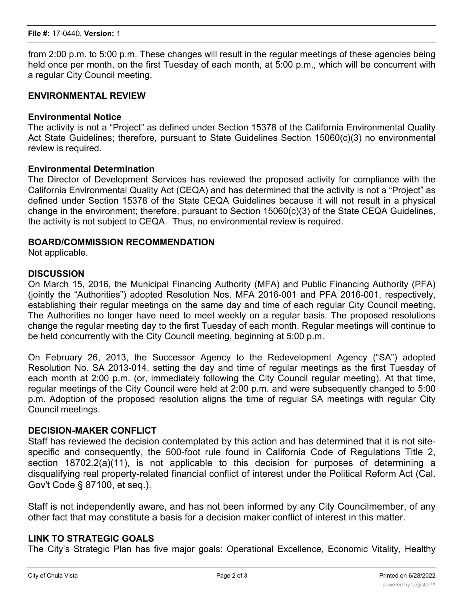from 2:00 p.m. to 5:00 p.m. These changes will result in the regular meetings of these agencies being held once per month, on the first Tuesday of each month, at 5:00 p.m., which will be concurrent with a regular City Council meeting.

#### **ENVIRONMENTAL REVIEW**

#### **Environmental Notice**

The activity is not a "Project" as defined under Section 15378 of the California Environmental Quality Act State Guidelines; therefore, pursuant to State Guidelines Section 15060(c)(3) no environmental review is required.

# **Environmental Determination**

The Director of Development Services has reviewed the proposed activity for compliance with the California Environmental Quality Act (CEQA) and has determined that the activity is not a "Project" as defined under Section 15378 of the State CEQA Guidelines because it will not result in a physical change in the environment; therefore, pursuant to Section 15060(c)(3) of the State CEQA Guidelines, the activity is not subject to CEQA. Thus, no environmental review is required.

#### **BOARD/COMMISSION RECOMMENDATION**

Not applicable.

# **DISCUSSION**

On March 15, 2016, the Municipal Financing Authority (MFA) and Public Financing Authority (PFA) (jointly the "Authorities") adopted Resolution Nos. MFA 2016-001 and PFA 2016-001, respectively, establishing their regular meetings on the same day and time of each regular City Council meeting. The Authorities no longer have need to meet weekly on a regular basis. The proposed resolutions change the regular meeting day to the first Tuesday of each month. Regular meetings will continue to be held concurrently with the City Council meeting, beginning at 5:00 p.m.

On February 26, 2013, the Successor Agency to the Redevelopment Agency ("SA") adopted Resolution No. SA 2013-014, setting the day and time of regular meetings as the first Tuesday of each month at 2:00 p.m. (or, immediately following the City Council regular meeting). At that time, regular meetings of the City Council were held at 2:00 p.m. and were subsequently changed to 5:00 p.m. Adoption of the proposed resolution aligns the time of regular SA meetings with regular City Council meetings.

# **DECISION-MAKER CONFLICT**

Staff has reviewed the decision contemplated by this action and has determined that it is not sitespecific and consequently, the 500-foot rule found in California Code of Regulations Title 2, section 18702.2(a)(11), is not applicable to this decision for purposes of determining a disqualifying real property-related financial conflict of interest under the Political Reform Act (Cal. Gov't Code § 87100, et seq.).

Staff is not independently aware, and has not been informed by any City Councilmember, of any other fact that may constitute a basis for a decision maker conflict of interest in this matter.

#### **LINK TO STRATEGIC GOALS**

The City's Strategic Plan has five major goals: Operational Excellence, Economic Vitality, Healthy